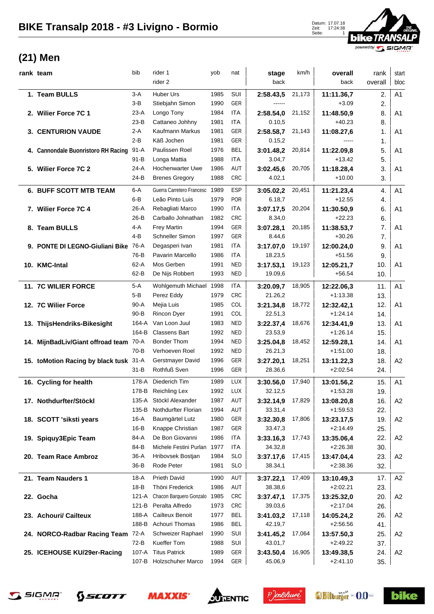

## **(21) Men**

| rank team                              | bib      | rider 1                        | yob  | nat        | stage     | km/h   | overall    | rank    | start          |
|----------------------------------------|----------|--------------------------------|------|------------|-----------|--------|------------|---------|----------------|
|                                        |          | rider 2                        |      |            | back      |        | back       | overall | bloc           |
| 1. Team BULLS                          | 3-A      | Huber Urs                      | 1985 | SUI        | 2:58.43,5 | 21,173 | 11:11.36,7 | 2.      | A <sub>1</sub> |
|                                        | $3-B$    | Stiebjahn Simon                | 1990 | GER        | ------    |        | $+3.09$    | 2.      |                |
| 2. Willer Force 7C 1                   | $23-A$   | Longo Tony                     | 1984 | <b>ITA</b> | 2:58.54,0 | 21,152 | 11:48.50,9 | 8.      | A <sub>1</sub> |
|                                        | $23-B$   | Cattaneo Johhny                | 1981 | <b>ITA</b> | 0.10,5    |        | $+40.23$   | 8.      |                |
| <b>3. CENTURION VAUDE</b>              | $2-A$    | Kaufmann Markus                | 1981 | GER        | 2:58.58,7 | 21,143 | 11:08.27,6 | 1.      | A <sub>1</sub> |
|                                        | $2-B$    | Käß Jochen                     | 1981 | GER        | 0.15,2    |        | $---$      | 1.      |                |
| 4. Cannondale Buonristoro RH Racing    | $91-A$   | Paulissen Roel                 | 1976 | <b>BEL</b> | 3:01.48,2 | 20,814 | 11:22.09,8 | 5.      | A <sub>1</sub> |
|                                        | $91 - B$ | Longa Mattia                   | 1988 | <b>ITA</b> | 3.04,7    |        | $+13.42$   | 5.      |                |
| 5. Wilier Force 7C 2                   | $24-A$   | Hochenwarter Uwe               | 1986 | AUT        | 3:02.45,6 | 20,705 | 11:18.28,4 | 3.      | A <sub>1</sub> |
|                                        | 24-B     | <b>Brenes Gregory</b>          | 1988 | <b>CRC</b> | 4.02,1    |        | $+10.00$   | 3.      |                |
| <b>6. BUFF SCOTT MTB TEAM</b>          | 6-A      | Guerra Carretero Francesc 1989 |      | <b>ESP</b> | 3:05.02,2 | 20,451 | 11:21.23,4 | 4.      | A1             |
|                                        | $6 - B$  | Leão Pinto Luis                | 1979 | <b>POR</b> | 6.18,7    |        | $+12.55$   | 4.      |                |
| 7. Wilier Force 7C 4                   | $26-A$   | Rebagliati Marco               | 1990 | <b>ITA</b> | 3:07.17,5 | 20,204 | 11:30.50,9 | 6.      | A <sub>1</sub> |
|                                        | $26-B$   | Carballo Johnathan             | 1982 | <b>CRC</b> | 8.34,0    |        | $+22.23$   | 6.      |                |
| 8. Team BULLS                          | 4-A      | <b>Frey Martin</b>             | 1994 | GER        | 3:07.28,1 | 20,185 | 11:38.53,7 | 7.      | A <sub>1</sub> |
|                                        | $4-B$    | Schneller Simon                | 1997 | GER        | 8.44,6    |        | $+30.26$   | 7.      |                |
| 9. PONTE DI LEGNO-Giuliani Bike        | 76-A     | Degasperi Ivan                 | 1981 | ITA        | 3:17.07,0 | 19,197 | 12:00.24,0 | 9.      | A <sub>1</sub> |
|                                        | 76-B     | Pavarin Marcello               | 1986 | <b>ITA</b> | 18.23,5   |        | $+51.56$   | 9.      |                |
| 10. KMC-Intal                          | $62-A$   | Mos Gerben                     | 1991 | <b>NED</b> | 3:17.53,1 | 19,123 | 12:05.21,7 | 10.     | A <sub>1</sub> |
|                                        | $62 - B$ | De Nijs Robbert                | 1993 | <b>NED</b> | 19.09,6   |        | $+56.54$   | 10.     |                |
| 11. 7C WILIER FORCE                    | 5-A      | Wohlgemuth Michael 1998        |      | ITA        | 3:20.09,7 | 18,905 | 12:22.06,3 | 11.     | A1             |
|                                        | $5 - B$  | Perez Eddy                     | 1979 | <b>CRC</b> | 21.26,2   |        | $+1:13.38$ | 13.     |                |
| 12. 7C Wilier Force                    | $90-A$   | Mejia Luis                     | 1985 | COL        | 3:21.34,8 | 18,772 | 12:32.42,1 | 12.     | A <sub>1</sub> |
|                                        | $90 - B$ | Rincon Dyer                    | 1991 | COL        | 22.51,3   |        | $+1:24.14$ | 14.     |                |
| 13. ThijsHendriks-Bikesight            | 164-A    | Van Loon Juul                  | 1983 | <b>NED</b> | 3:22.37,4 | 18,676 | 12:34.41,9 | 13.     | A <sub>1</sub> |
|                                        | 164-B    | <b>Classens Bart</b>           | 1992 | <b>NED</b> | 23.53,9   |        | $+1:26.14$ | 15.     |                |
| 14. MijnBadLiv/Giant offroad team      | 70-A     | <b>Bonder Thom</b>             | 1994 | <b>NED</b> | 3:25.04,8 | 18,452 | 12:59.28,1 | 14.     | A <sub>1</sub> |
|                                        | $70-B$   | Verhoeven Roel                 | 1992 | <b>NED</b> | 26.21,3   |        | $+1:51.00$ | 18.     |                |
| 15. toMotion Racing by black tusk 31-A |          | Gerstmayer David               | 1996 | GER        | 3:27.20,1 | 18,251 | 13:11.22,3 | 18.     | A2             |
|                                        | $31 - B$ | Rothfuß Sven                   | 1996 | GER        | 28.36,6   |        | $+2:02.54$ | 24.     |                |
| 16. Cycling for health                 | 178-A    | Diederich Tim                  | 1989 | LUX        | 3:30.56,0 | 17,940 | 13:01.56,2 | 15.     | A1             |
|                                        | 178-B    | Reichling Lex                  | 1992 | LUX        | 32.12,5   |        | $+1:53.28$ | 19.     |                |
| 17. Nothdurfter/Stöckl                 | 135-A    | Stöckl Alexander               | 1987 | AUT        | 3:32.14,9 | 17,829 | 13:08.20,8 | 16.     | A <sub>2</sub> |
|                                        | 135-B    | Nothdurfter Florian            | 1994 | AUT        | 33.31,4   |        | $+1:59.53$ | 22.     |                |
| 18. SCOTT 'siksti years                | 16-A     | Baumgärtel Lutz                | 1980 | GER        | 3:32.30,8 | 17,806 | 13:23.17,5 | 19.     | A <sub>2</sub> |
|                                        | $16-B$   | Knappe Christian               | 1987 | GER        | 33.47,3   |        | $+2:14.49$ | 25.     |                |
| 19. Spiquy3Epic Team                   | 84-A     | De Bon Giovanni                | 1986 | ITA        | 3:33.16,3 | 17,743 | 13:35.06,4 | 22.     | A <sub>2</sub> |
|                                        | 84-B     | Michele Festini Purlan         | 1977 | <b>ITA</b> | 34.32,8   |        | $+2:26.38$ | 30.     |                |
| 20. Team Race Ambroz                   | 36-A     | Hribovsek Bostjan              | 1984 | <b>SLO</b> | 3:37.17,6 | 17,415 | 13:47.04,4 | 23.     | A <sub>2</sub> |
|                                        | $36 - B$ | Rode Peter                     | 1981 | <b>SLO</b> | 38.34,1   |        | $+2:38.36$ | 32.     |                |
| 21. Team Nauders 1                     | 18-A     | <b>Prieth David</b>            | 1990 | AUT        | 3:37.22,1 | 17,409 | 13:10.49,3 | 17.     | A2             |
|                                        | $18-B$   | Thöni Frederick                | 1986 | AUT        | 38.38,6   |        | $+2:02.21$ | 23.     |                |
| 22. Gocha                              | 121-A    | Chacon Barquero Gonzalo 1985   |      | <b>CRC</b> | 3:37.47,1 | 17,375 | 13:25.32,0 | 20.     | A <sub>2</sub> |
|                                        | 121-B    | Peralta Alfredo                | 1973 | <b>CRC</b> | 39.03,6   |        | $+2:17.04$ | 26.     |                |
| 23. Achouri/ Cailteux                  | 188-A    | <b>Cailteux Benoit</b>         | 1977 | <b>BEL</b> | 3:41.03,2 | 17,118 | 14:05.24,2 | 26.     | A2             |
|                                        | 188-B    | Achouri Thomas                 | 1986 | <b>BEL</b> | 42.19,7   |        | $+2:56.56$ | 41.     |                |
| 24. NORCO-Radbar Racing Team           | 72-A     | Schweizer Raphael              | 1990 | SUI        | 3:41.45,2 | 17,064 | 13:57.50,3 | 25.     | A <sub>2</sub> |
|                                        | $72-B$   | Kueffer Tom                    | 1988 | SUI        | 43.01,7   |        | $+2:49.22$ | 37.     |                |
| 25. ICEHOUSE KU/29er-Racing            | 107-A    | <b>Titus Patrick</b>           | 1989 | GER        | 3:43.50,4 | 16,905 | 13:49.38,5 | 24.     | A <sub>2</sub> |
|                                        |          | 107-B Holzschuher Marco        | 1994 | GER        | 45.06,9   |        | $+2:41.10$ | 35.     |                |









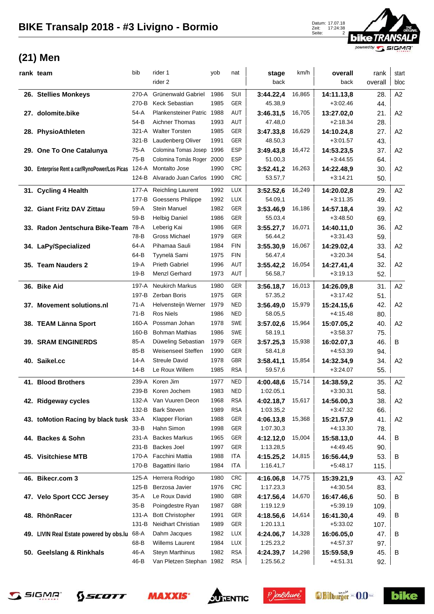

## **(21) Men**

| rank team                                     | bib      | rider 1                    | yob  | nat        | stage     | km/h   | overall    | rank    | start          |
|-----------------------------------------------|----------|----------------------------|------|------------|-----------|--------|------------|---------|----------------|
|                                               |          | rider 2                    |      |            | back      |        | back       | overall | bloc           |
| 26. Stellies Monkeys                          | $270-A$  | Grünenwald Gabriel         | 1986 | SUI        | 3:44.22,4 | 16,865 | 14:11.13,8 | 28.     | A2             |
|                                               | 270-B    | Keck Sebastian             | 1985 | GER        | 45.38,9   |        | $+3:02.46$ | 44.     |                |
| 27. dolomite.bike                             | 54-A     | Plankensteiner Patric 1988 |      | AUT        | 3:46.31,5 | 16,705 | 13:27.02,0 | 21.     | A2             |
|                                               | 54-B     | Aichner Thomas             | 1993 | AUT        | 47.48,0   |        | $+2:18.34$ | 28.     |                |
| 28. PhysioAthleten                            | $321-A$  | <b>Walter Torsten</b>      | 1985 | GER        | 3:47.33,8 | 16,629 | 14:10.24,8 | 27.     | A2             |
|                                               | $321-B$  | Laudenberg Oliver          | 1991 | GER        | 48.50,3   |        | $+3:01.57$ | 43.     |                |
| 29. One To One Catalunya                      | 75-A     | Colomina Tomas Josep 1996  |      | <b>ESP</b> | 3:49.43.8 | 16,472 | 14:53.23,5 | 37.     | A2             |
|                                               | $75-B$   | Colomina Tomàs Roger 2000  |      | <b>ESP</b> | 51.00,3   |        | $+3:44.55$ | 64.     |                |
| 30. Enterprise Rent a car/RynoPower/Los Picas | 124-A    | Montalto Jose              | 1990 | <b>CRC</b> | 3:52.41,2 | 16,263 | 14:22.48,9 | 30.     | A2             |
|                                               | $124-B$  | Alvarado Juan Carlos 1990  |      | CRC        | 53.57,7   |        | $+3:14.21$ | 50.     |                |
| 31. Cycling 4 Health                          | 177-A    | <b>Reichling Laurent</b>   | 1992 | LUX        | 3:52.52,6 | 16,249 | 14:20.02,8 | 29.     | A2             |
|                                               | 177-B    | Goessens Philippe          | 1992 | LUX        | 54.09,1   |        | $+3:11.35$ | 49.     |                |
| 32. Giant Fritz DAV Zittau                    | 59-A     | <b>Stein Manuel</b>        | 1982 | GER        | 3:53.46,9 | 16,186 | 14:57.18,4 | 39.     | A2             |
|                                               | 59-B     | <b>Helbig Daniel</b>       | 1986 | GER        | 55.03,4   |        | $+3:48.50$ | 69.     |                |
| 33. Radon Jentschura Bike-Team                | 78-A     | Leberig Kai                | 1986 | GER        | 3:55.27,7 | 16,071 | 14:40.11,0 | 36.     | A2             |
|                                               | 78-B     | <b>Gross Michael</b>       | 1979 | GER        | 56.44,2   |        | $+3:31.43$ | 59.     |                |
| 34. LaPy/Specialized                          | 64-A     | Pihamaa Sauli              | 1984 | <b>FIN</b> | 3:55.30,9 | 16,067 | 14:29.02,4 | 33.     | A2             |
|                                               | 64-B     | Tyynelä Sami               | 1975 | <b>FIN</b> | 56.47,4   |        | $+3:20.34$ | 54.     |                |
| 35. Team Nauders 2                            | $19-A$   | <b>Prieth Gabriel</b>      | 1996 | <b>AUT</b> | 3:55.42,2 | 16,054 | 14:27.41.4 | 32.     | A2             |
|                                               | $19-B$   | <b>Menzl Gerhard</b>       | 1973 | AUT        | 56.58,7   |        | $+3:19.13$ | 52.     |                |
| 36. Bike Aid                                  | 197-A    | <b>Neukirch Markus</b>     | 1980 | GER        | 3:56.18,7 | 16,013 | 14:26.09,8 | 31.     | A2             |
|                                               | 197-B    | <b>Zerban Boris</b>        | 1975 | GER        | 57.35,2   |        | $+3:17.42$ | 51.     |                |
| 37. Movement solutions.nl                     | 71-A     | Helvensteijn Werner        | 1979 | <b>NED</b> | 3:56.49,0 | 15,979 | 15:24.15,6 | 42.     | A2             |
|                                               | $71-B$   | <b>Ros Niels</b>           | 1986 | <b>NED</b> | 58.05,5   |        | $+4.15.48$ | 80.     |                |
| 38. TEAM Länna Sport                          | 160-A    | Possman Johan              | 1978 | SWE        | 3:57.02,6 | 15,964 | 15:07.05,2 | 40.     | A <sub>2</sub> |
|                                               | 160-B    | <b>Bohman Mathias</b>      | 1986 | SWE        | 58.19,1   |        | $+3:58.37$ | 75.     |                |
| <b>39. SRAM ENGINERDS</b>                     | 85-A     | Düweling Sebastian         | 1979 | GER        | 3:57.25,3 | 15,938 | 16:02.07,3 | 46.     | B              |
|                                               | 85-B     | Weisenseel Steffen         | 1990 | GER        | 58.41,8   |        | $+4:53.39$ | 94.     |                |
| 40. Saikel.cc                                 | $14-A$   | <b>Streule David</b>       | 1978 | GBR        | 3:58.41,1 | 15,854 | 14:32.34,9 | 34.     | A2             |
|                                               | $14-B$   | Le Roux Willem             | 1985 | <b>RSA</b> | 59.57,6   |        | $+3:24.07$ | 55.     |                |
| 41. Blood Brothers                            | 239-A    | Koren Jim                  | 1977 | <b>NED</b> | 4:00.48,6 | 15,714 | 14:38.59,2 | 35.     | A2             |
|                                               |          | 239-B Koren Jochem         | 1983 | <b>NED</b> | 1:02.05,1 |        | $+3:30.31$ | 58.     |                |
| 42. Ridgeway cycles                           |          | 132-A Van Vuuren Deon      | 1968 | <b>RSA</b> | 4:02.18,7 | 15,617 | 14:56.00,3 | 38.     | A <sub>2</sub> |
|                                               | 132-B    | <b>Bark Steven</b>         | 1989 | <b>RSA</b> | 1:03.35,2 |        | $+3:47.32$ | 66.     |                |
| 43. toMotion Racing by black tusk 33-A        |          | Klapper Florian            | 1988 | GER        | 4:06.13,8 | 15,368 | 15:21.57,9 | 41.     | A <sub>2</sub> |
|                                               | 33-B     | Hahn Simon                 | 1998 | GER        | 1:07.30,3 |        | $+4:13.30$ | 78.     |                |
| 44. Backes & Sohn                             | 231-A    | <b>Backes Markus</b>       | 1965 | GER        | 4:12.12,0 | 15,004 | 15:58.13,0 | 44.     | в              |
|                                               | 231-B    | <b>Backes Joel</b>         | 1997 | GER        | 1:13.28,5 |        | $+4:49.45$ | 90.     |                |
| 45. Visitchiese MTB                           |          | 170-A Facchini Mattia      | 1988 | <b>ITA</b> | 4:15.25.2 | 14,815 | 16:56.44,9 | 53.     | В              |
|                                               | 170-B    | Bagattini Ilario           | 1984 | <b>ITA</b> | 1:16.41,7 |        | $+5:48.17$ | 115.    |                |
| 46. Bikecr.com 3                              | 125-A    | Herrera Rodrigo            | 1980 | <b>CRC</b> | 4:16.06,8 | 14,775 | 15:39.21,9 | 43.     | A <sub>2</sub> |
|                                               | 125-B    | Berzosa Javier             | 1976 | <b>CRC</b> | 1:17.23,3 |        | $+4:30.54$ | 83.     |                |
| 47. Velo Sport CCC Jersey                     | 35-A     | Le Roux David              | 1980 | GBR        | 4:17.56,4 | 14,670 | 16:47.46,6 | 50.     | в              |
|                                               | $35 - B$ | Poingdestre Ryan           | 1987 | GBR        | 1:19.12,9 |        | $+5:39.19$ | 109.    |                |
| 48. RhönRacer                                 | 131-A    | <b>Bott Christopher</b>    | 1991 | GER        | 4:18.56,6 | 14,614 | 16:41.30,4 | 49.     | В              |
|                                               | 131-B    | Neidhart Christian         | 1989 | GER        | 1:20.13,1 |        | $+5:33.02$ | 107.    |                |
| 49. LIVIN Real Estate powered by obs.lu       | 68-A     | Dahm Jacques               | 1982 | LUX        | 4:24.06,7 | 14,328 | 16:06.05,0 | 47.     | в              |
|                                               | 68-B     | Willems Laurent            | 1984 | LUX        | 1:25.23,2 |        | $+4:57.37$ | 97.     |                |
| 50. Geelslang & Rinkhals                      | 46-A     | <b>Steyn Marthinus</b>     | 1982 | <b>RSA</b> | 4:24.39,7 | 14,298 | 15:59.58,9 | 45.     | В              |
|                                               | 46-B     | Van Pletzen Stephan 1982   |      | <b>RSA</b> | 1:25.56,2 |        | $+4:51.31$ | 92.     |                |









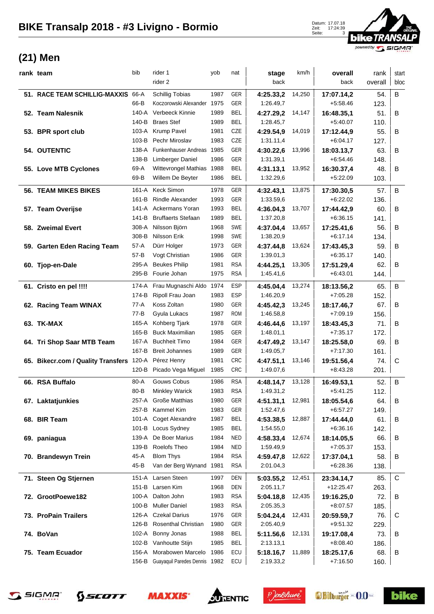Zeit: 17:24:39 Seite: 3



## **(21) Men**

| rank team                                | bib      | rider 1                             | yob  | nat        | stage     | km/h   | overall     | rank    | start |
|------------------------------------------|----------|-------------------------------------|------|------------|-----------|--------|-------------|---------|-------|
|                                          |          | rider 2                             |      |            | back      |        | back        | overall | bloc  |
| 51. RACE TEAM SCHILLIG-MAXXIS            | 66-A     | <b>Schillig Tobias</b>              | 1987 | <b>GER</b> | 4:25.33,2 | 14,250 | 17:07.14,2  | 54.     | B     |
|                                          | 66-B     | Koczorowski Alexander 1975          |      | GER        | 1:26.49,7 |        | $+5.58.46$  | 123.    |       |
| 52. Team Nalesnik                        | 140-A    | Verbeeck Kinnie                     | 1989 | <b>BEL</b> | 4:27.29,2 | 14,147 | 16:48.35,1  | 51.     | B     |
|                                          | 140-B    | <b>Braes Stef</b>                   | 1989 | <b>BEL</b> | 1:28.45,7 |        | $+5:40.07$  | 110.    |       |
| 53. BPR sport club                       | 103-A    | Krump Pavel                         | 1981 | CZE        | 4:29.54,9 | 14,019 | 17:12.44,9  | 55.     | B     |
|                                          | 103-B    | Pechr Miroslav                      | 1983 | CZE        | 1:31.11,4 |        | +6:04.17    | 127.    |       |
| <b>54. OUTENTIC</b>                      | 138-A    | Funkenhauser Andreas 1985           |      | GER        | 4:30.22,6 | 13,996 | 18:03.13,7  | 63.     | в     |
|                                          | 138-B    | <b>Limberger Daniel</b>             | 1986 | GER        | 1:31.39,1 |        | +6:54.46    | 148.    |       |
| 55. Love MTB Cyclones                    | 69-A     | Wittevrongel Mathias 1988           |      | <b>BEL</b> | 4:31.13,1 | 13,952 | 16:30.37,4  | 48.     | B     |
|                                          | 69-B     | Willem De Beyter                    | 1986 | <b>BEL</b> | 1:32.29,6 |        | +5:22.09    | 103.    |       |
|                                          |          |                                     |      |            |           |        |             |         |       |
| <b>56. TEAM MIKES BIKES</b>              | 161-A    | <b>Keck Simon</b>                   | 1978 | GER        | 4:32.43,1 | 13,875 | 17:30.30,5  | 57.     | B     |
|                                          | 161-B    | <b>Rindle Alexander</b>             | 1993 | <b>GER</b> | 1:33.59,6 |        | $+6:22.02$  | 136.    |       |
| 57. Team Overijse                        |          | 141-A Ackermans Yoran               | 1993 | <b>BEL</b> | 4:36.04,3 | 13,707 | 17:44.42,9  | 60.     | B     |
|                                          | 141-B    | <b>Bruffaerts Stefaan</b>           | 1989 | <b>BEL</b> | 1:37.20,8 |        | $+6:36.15$  | 141.    |       |
| 58. Zweimal Evert                        | 308-A    | Nilsson Björn                       | 1968 | SWE        | 4:37.04,4 | 13,657 | 17:25.41,6  | 56.     | B     |
|                                          | 308-B    | Nilsson Erik                        | 1998 | SWE        | 1:38.20,9 |        | $+6:17.14$  | 134.    |       |
| 59. Garten Eden Racing Team              | $57-A$   | Dürr Holger                         | 1973 | GER        | 4:37.44,8 | 13,624 | 17:43.45,3  | 59.     | B     |
|                                          | $57 - B$ | Vogt Christian                      | 1986 | GER        | 1:39.01,3 |        | $+6.35.17$  | 140.    |       |
| 60. Tjop-en-Dale                         | 295-A    | <b>Beukes Philip</b>                | 1981 | <b>RSA</b> | 4:44.25.1 | 13,305 | 17:51.29,4  | 62.     | B     |
|                                          | 295-B    | Fourie Johan                        | 1975 | <b>RSA</b> | 1:45.41,6 |        | $+6:43.01$  | 144.    |       |
| 61. Cristo en pel !!!!                   | 174-A    | Frau Mugnaschi Aldo 1974            |      | <b>ESP</b> | 4:45.04,4 | 13,274 | 18:13.56,2  | 65.     | B     |
|                                          | 174-B    | Ripoll Frau Joan                    | 1983 | <b>ESP</b> | 1:46.20,9 |        | $+7:05.28$  | 152.    |       |
| 62. Racing Team WINAX                    | 77-A     | Koss Zoltan                         | 1980 | GER        | 4:45.42,3 | 13,245 | 18:17.46,7  | 67.     | B     |
|                                          | 77-B     | Gyula Lukacs                        | 1987 | <b>ROM</b> | 1:46.58,8 |        | $+7:09.19$  | 156.    |       |
| 63. TK-MAX                               | 165-A    | Kohberg Tjark                       | 1978 | GER        | 4:46.44,6 | 13,197 | 18:43.45,3  | 71.     | B     |
|                                          | 165-B    | <b>Buck Maximilian</b>              | 1985 | GER        | 1:48.01,1 |        | $+7:35.17$  | 172.    |       |
| 64. Tri Shop Saar MTB Team               | 167-A    | <b>Buchheit Timo</b>                | 1984 | GER        | 4:47.49,2 | 13,147 | 18:25.58,0  | 69.     | B     |
|                                          | 167-B    | <b>Breit Johannes</b>               | 1989 | GER        | 1:49.05,7 |        | $+7:17.30$  | 161.    |       |
| 65. Bikecr.com / Quality Transfers 120-A |          | Pérez Henry                         | 1981 | <b>CRC</b> | 4:47.51,1 | 13,146 | 19:51.56,4  | 74.     | C     |
|                                          | 120-B    | Picado Vega Miguel                  | 1985 | <b>CRC</b> | 1:49.07,6 |        | $+8:43.28$  | 201.    |       |
| 66. RSA Buffalo                          | 80-A     | Gouws Cobus                         | 1986 | <b>RSA</b> | 4:48.14.7 | 13,128 | 16:49.53,1  | 52.     | B     |
|                                          | 80-B     | <b>Minkley Warick</b>               | 1983 | <b>RSA</b> | 1:49.31,2 |        | +5:41.25    | 112.    |       |
| 67. Laktatjunkies                        |          | 257-A Große Matthias                | 1980 | GER        | 4:51.31.1 | 12,981 | 18:05.54,6  | 64.     | B     |
|                                          |          | 257-B Kammel Kim                    | 1983 | GER        | 1:52.47,6 |        | $+6.57.27$  | 149.    |       |
| 68. BIR Team                             |          | 101-A Coget Alexandre               | 1987 | <b>BEL</b> | 4:53.38,5 | 12,887 | 17:44.44,0  | 61.     | B     |
|                                          |          | 101-B Locus Sydney                  | 1985 | <b>BEL</b> | 1:54.55,0 |        | $+6:36.16$  | 142.    |       |
| 69. paniagua                             | 139-A    | De Boer Marius                      | 1984 | <b>NED</b> | 4:58.33,4 | 12,674 | 18:14.05,5  | 66.     | B     |
|                                          | 139-B    | Roelofs Theo                        | 1984 | <b>NED</b> | 1:59.49,9 |        | $+7:05.37$  | 153.    |       |
| 70. Brandewyn Trein                      | 45-A     | <b>Blom Thys</b>                    | 1984 | <b>RSA</b> | 4:59.47,8 | 12,622 | 17:37.04,1  | 58.     | B     |
|                                          | 45-B     | Van der Berg Wynand 1981            |      | <b>RSA</b> | 2:01.04,3 |        | $+6:28.36$  | 138.    |       |
| 71. Steen Og Stjernen                    |          | 151-A Larsen Steen                  | 1997 | DEN        | 5:03.55.2 | 12,451 | 23:34.14,7  | 85.     | C     |
|                                          |          | 151-B Larsen Kim                    | 1968 | DEN        | 2:05.11,7 |        | $+12:25.47$ | 263.    |       |
| 72. GrootPoewe182                        |          | 100-A Dalton John                   | 1983 | <b>RSA</b> | 5:04.18,8 | 12,435 | 19:16.25,0  | 72.     | B     |
|                                          | 100-B    | <b>Muller Daniel</b>                | 1983 | <b>RSA</b> | 2:05.35,3 |        | $+8:07.57$  | 185.    |       |
| 73. ProPain Trailers                     |          | 126-A Czekal Darius                 | 1976 | GER        | 5:04.24,4 | 12,431 | 20:59.59,7  | 76.     | C     |
|                                          | 126-B    | <b>Rosenthal Christian</b>          | 1980 | GER        | 2:05.40,9 |        | $+9:51.32$  | 229.    |       |
| 74. BoVan                                | 102-A    | Bonny Jonas                         | 1988 | <b>BEL</b> | 5:11.56,6 | 12,131 | 19:17.08,4  | 73.     | B     |
|                                          |          | 102-B Vanhoutte Stijn               | 1985 | <b>BEL</b> | 2:13.13,1 |        | $+8:08.40$  | 186.    |       |
| 75. Team Ecuador                         | 156-A    | Morabowen Marcelo                   | 1986 | ECU        | 5:18.16,7 | 11,889 | 18:25.17,6  | 68.     | B     |
|                                          |          | 156-B Guayaquil Paredes Dennis 1982 |      | ECU        | 2:19.33,2 |        | $+7:16.50$  | 160.    |       |
|                                          |          |                                     |      |            |           |        |             |         |       |